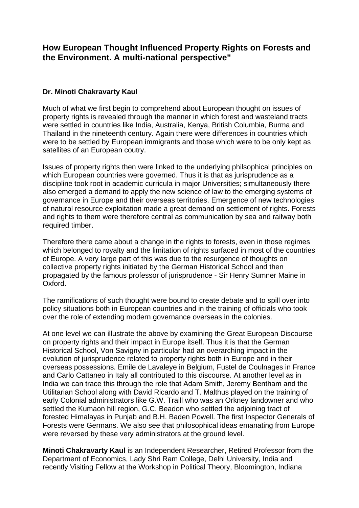## **How European Thought Influenced Property Rights on Forests and the Environment. A multi-national perspective"**

## **Dr. Minoti Chakravarty Kaul**

Much of what we first begin to comprehend about European thought on issues of property rights is revealed through the manner in which forest and wasteland tracts were settled in countries like India, Australia, Kenya, British Columbia, Burma and Thailand in the nineteenth century. Again there were differences in countries which were to be settled by European immigrants and those which were to be only kept as satellites of an European coutry.

Issues of property rights then were linked to the underlying philsophical principles on which European countries were governed. Thus it is that as jurisprudence as a discipline took root in academic curricula in major Universities; simultaneously there also emerged a demand to apply the new science of law to the emerging systems of governance in Europe and their overseas territories. Emergence of new technologies of natural resource exploitation made a great demand on settlement of rights. Forests and rights to them were therefore central as communication by sea and railway both required timber.

Therefore there came about a change in the rights to forests, even in those regimes which belonged to royalty and the limitation of rights surfaced in most of the countries of Europe. A very large part of this was due to the resurgence of thoughts on collective property rights initiated by the German Historical School and then propagated by the famous professor of jurisprudence - Sir Henry Sumner Maine in Oxford.

The ramifications of such thought were bound to create debate and to spill over into policy situations both in European countries and in the training of officials who took over the role of extending modern governance overseas in the colonies.

At one level we can illustrate the above by examining the Great European Discourse on property rights and their impact in Europe itself. Thus it is that the German Historical School, Von Savigny in particular had an overarching impact in the evolution of jurisprudence related to property rights both in Europe and in their overseas possessions. Emile de Lavaleye in Belgium, Fustel de Coulnages in France and Carlo Cattaneo in Italy all contributed to this discourse. At another level as in India we can trace this through the role that Adam Smith, Jeremy Bentham and the Utilitarian School along with David Ricardo and T. Malthus played on the training of early Colonial administrators like G.W. Traill who was an Orkney landowner and who settled the Kumaon hill region, G.C. Beadon who settled the adjoining tract of forested Himalayas in Punjab and B.H. Baden Powell. The first Inspector Generals of Forests were Germans. We also see that philosophical ideas emanating from Europe were reversed by these very administrators at the ground level.

**Minoti Chakravarty Kaul** is an Independent Researcher, Retired Professor from the Department of Economics, Lady Shri Ram College, Delhi University, India and recently Visiting Fellow at the Workshop in Political Theory, Bloomington, Indiana